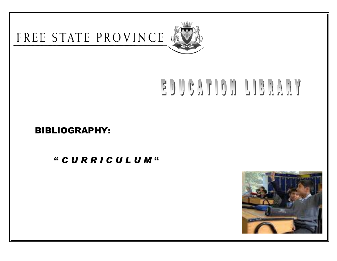

# EDUCATION LIBRARY

## BIBLIOGRAPHY:

" *C U R R I C U L U M* "

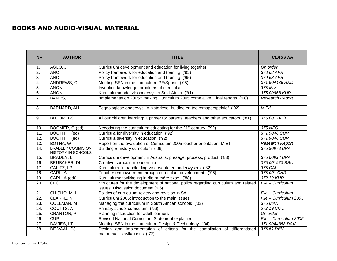#### BOOKS AND AUDIO-VISUAL MATERIAL

| <b>NR</b>         | <b>AUTHOR</b>                                  | <b>TITLE</b>                                                                                                            | <b>CLASS NR</b>        |
|-------------------|------------------------------------------------|-------------------------------------------------------------------------------------------------------------------------|------------------------|
| 1.                | AGLO, J                                        | Curriculum development and education for living together                                                                | On order               |
| $\overline{2}$ .  | <b>ANC</b>                                     | Policy framework for education and training ('95)                                                                       | 378.68 AFR             |
| $\overline{3}$ .  | <b>ANC</b>                                     | Policy framework for education and training ('95)                                                                       | 379.68 AFR             |
| $\overline{4}$ .  | ANDREWS, C                                     | Meeting SEN in the curriculum: PE/Sports ('05)                                                                          | 371.904486 AND         |
| 5.                | <b>ANON</b>                                    | Inventing knowledge: problems of curriculum                                                                             | 375 INV                |
| 6.                | <b>ANON</b>                                    | Kurrikulummodel vir onderwys in Suid-Afrika ('91)                                                                       | 375.00968 KUR          |
| $\overline{7}$ .  | BAMPS, H                                       | "Implementation 2005": making Curriculum 2005 come alive. Final reports ('98)                                           | <b>Research Report</b> |
| 8.                | BARNARD, AH                                    | Tegnologiese onderwys: 'n historiese, huidige en toekomsperspektief ('02)                                               | M Ed                   |
| 9.                | <b>BLOOM, BS</b>                               | All our children learning: a primer for parents, teachers and other educators ('81)                                     | 375.001 BLO            |
| 10.               | BOOMER, G (ed)                                 | Negotiating the curriculum: educating for the 21 <sup>st</sup> century ('92)                                            | 375 NEG                |
| $\overline{11}$ . | BOOTH, T (ed)                                  | Curricula for diversity in education ('92)                                                                              | 371.9046 CUR           |
| $\overline{12}$ . | BOOTH, T (ed)                                  | Curricula diversity in education ('92)                                                                                  | 371.9046 CUR           |
| 13.               | BOTHA, W                                       | Report on the evaluation of Curriculum 2005 teacher orientation: MIET                                                   | Research Report        |
| 14.               | <b>BRADLEY COMMIS ON</b><br>HISTORY IN SCHOOLS | Building a history curriculum ('88)<br>375.90973 BRA                                                                    |                        |
| 15.               | BRADEY, L                                      | Curriculum development in Australia: presage, process, product ('83)                                                    | 375.00994 BRA          |
| 16.               | <b>BRUBAKER, DL</b>                            | Creative curriculum leadership                                                                                          | 375.001973 BRU         |
| 17.               | CALITZ, LP                                     | Kurrikulum: 'n handleiding vir dosente en onderwysers ('82)                                                             | 375 CAL                |
| 18.               | CARL, A                                        | Teacher empowerment through curriculum development ('95)                                                                | 375.001 CAR            |
| 19.               | CARL, A (ed0                                   | Kurrikulumontwikkeling in die primêre skool ('88)                                                                       | 372.19 KUR             |
| $\overline{20}$ . | <b>CFC</b>                                     | Structures for the development of national policy regarding curriculum and related<br>issues: Discussion document ('96) | File - Curriculum      |
| 21.               | CHISHOLM, L                                    | Politics of curriculum review and revision in SA                                                                        | File - Curriculum      |
| $\overline{22}$ . | CLARKE, N                                      | Curriculum 2005: introduction to the main issues                                                                        | File - Curriculum 2005 |
| $\overline{23}$ . | COLEMAN, M                                     | 375 MAN<br>Managing the curriculum in South African schools ('03)                                                       |                        |
| $\overline{24}$ . | COUTTS, A                                      | Primary school curriculum ('96)                                                                                         | 372.19 COU             |
| 25.               | CRANTON, P                                     | On order<br>Planning instruction for adult learners                                                                     |                        |
| 26.               | <b>CUP</b>                                     | Revised National Curriculum Statement explained<br>File - Curriculum 2005                                               |                        |
| 27.               | DAVIES, LT                                     | Meeting SEN in the curriculum: Design & Technology ('04)                                                                | 371.9044358 DAV        |
| 28.               | DE VAAL, DJ                                    | Design and implementation of criteria for the compilation of differentiated<br>mathematics syllabuses ('77)             | 375.51 DEV             |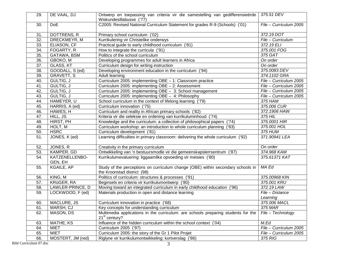| 29.               | DE VAAL, DJ               | Ontwerp en toepassing van criteria vir die samestelling van gedifferensieërde<br>Wiskundesillabusse ('77)                           | 375.51 DEV             |
|-------------------|---------------------------|-------------------------------------------------------------------------------------------------------------------------------------|------------------------|
| 30.               | <b>DoE</b>                | C2005: Revised National Curriculum Statement for grades R-9 (Schools) ('01)                                                         | File - Curriculum 2005 |
| 31.               | DOTTRENS, R               | Primary school curriculum ('02)                                                                                                     | 372.19 DOT             |
| 32.               | DRECKMEYR, M              | Kurrikulering vir Christelike onderwys                                                                                              | File - Curriculum      |
| 33.               | ELIASON, CF               | Practical guide to early childhood curriculum ('81)                                                                                 | 372.19 ELI             |
| 34.               | FOGARTY, R                | How to integrate the curricula ('91)                                                                                                | 375.001 FOG            |
| $\overline{35}$ . | GATAWA, BSM               | Politics of the school curriculum                                                                                                   | 375 GAT                |
| $\overline{36}$ . | GBOKO, M                  | Developing programmes for adult learners in Africa                                                                                  | On order               |
| $\overline{37}$ . | GLASS, KT                 | Curriculum design for writing instruction                                                                                           | On order               |
| 38.               | GOODALL, S (ed)           | Developing environment education in the curriculum ('94)                                                                            | 375.0083 DEV           |
| 39.               | GRAVETT, S                | Adult learning                                                                                                                      | 374.1102 GRA           |
| 40.               | GULTIG, J                 | Curriculum 2005: implementing OBE - 1: Classroom practice                                                                           | File - Curriculum 2005 |
| 41.               | GULTIG, J                 | Curriculum 2005: implementing OBE - 2: Assessment                                                                                   | File - Curriculum 2005 |
| 42.               | GULTIG, J                 | Curriculum 2005: implementing OBE - 3: School management                                                                            | File - Curriculum 2005 |
| 43.               | GULTIG, J                 | Curriculum 2005: implementing OBE - 4: Philosophy                                                                                   | File - Curriculum 2005 |
| 44.               | HAMEYER, U                | School curriculum in the context of lifelong learning ('79)                                                                         | 375 HAM                |
| 45.               | HARRIS, A (ed)            | Curriculum innovation ('75)                                                                                                         | 375.006 CUR            |
| 46.               | HAWES, H                  | Curriculum and reality in African primary schools ('82)                                                                             | 372.1906 HAW           |
| 47.               | HILL, JS                  | Kriteria vir die seleksie en ordening van kurrikuluminhoud ('74)                                                                    | 375 HIL                |
| 48.               | HIRST, PH                 | Knowledge and the curriculum: a collection of philosophical papers ('74)                                                            | 375.0001 HIR           |
| 49.               | HOLT, M                   | Curriculum workshop: an introduction to whole curriculum planning ('83)                                                             | 375.001 HOL            |
| 50.               | <b>HSRC</b>               | Curriculum development ('81)                                                                                                        | 375 HUM                |
| 51.               | JONES, K (ed)             | Learning difficulties in primary classroom: delivering the whole curriculum ('92)                                                   | 371.90941 LEA          |
| 52.               | JONES, R                  | Creativity in the primary curriculum                                                                                                | On order               |
| 53.               | KAMPER, GD                | Ontwikkeling van 'n bestuursmodle vir die gemeenskapslerrsentrum ('87)                                                              | 374.968 KAM            |
| 54.               | KATZENELLENBO-<br>GEN, EH | Kurrikulumevaluering: liggaamlike opvoeding vir meisies ('80)                                                                       | 375.61371 KAT          |
| 55.               | KGAILE, AP                | Study of the perceptions on curriculum change (OBE) within secondary schools in<br>the Kroonstad district (98)                      | MA Ed                  |
| 56.               | KING, M                   | Politics of curriculum: structures & processes ('91)                                                                                | 375.00968 KIN          |
| 57.               | KRüGER, RA                | Beginsels en criteria vir kurrikulumontwerp ('80)                                                                                   | 375.001 KRU            |
| 58.               | LAWLER-PRINCE, D          | Moving toward an integrated curriculum in early childhood education ('96)                                                           | 372.19 LAW             |
| 59.               | LOCKWOOD, F (ed)          | Materials production in open and distance learning                                                                                  | File - Distance        |
|                   |                           |                                                                                                                                     | Learning               |
| 60.               | MACLURE, JS               | Curriculum innovation in practice ('68)                                                                                             | 375.006 MACL           |
| 61.               | MARSH, CJ                 | Key concepts for understanding curriculum                                                                                           | 375 MAR                |
| 62.               | MASON, DS                 | Multimedia applications in the curriculum: are schools preparing students for the<br>File - Technology<br>21 <sup>st</sup> century? |                        |
| 63.               | MATHE, KS                 | Influence of the hidden curriculum within the school context ('04)                                                                  | M.Ed                   |
| 64.               | <b>MIET</b>               | Curriculum 2005 ('97)                                                                                                               | File - Curriculum 2005 |
| 65.               | <b>MIET</b>               | Curriculum 2005: the story of the Gr 1 Pilot Projet                                                                                 | File - Curriculum 2005 |
| 66.               | MOSTERT, JM (red)         | Riglyne vir kurrikulumontwikkeling: kortverslag ('86)                                                                               | 375 RIG                |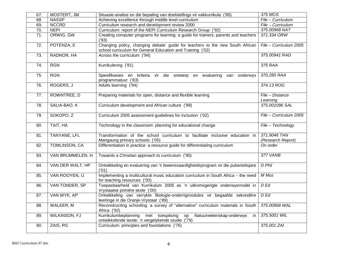| 67.               | MOSTERT, JM          | Situasie-analise en die bepaling van doelstellings vir vakkurrikula ('85)                                                                   | 375 MOS                           |
|-------------------|----------------------|---------------------------------------------------------------------------------------------------------------------------------------------|-----------------------------------|
| 68.               | <b>NASSP</b>         | Achieving excellence through middle level curriculum                                                                                        | File - Curriculum                 |
| 69.               | <b>NCCRD</b>         | Curriculum research and development review 2000                                                                                             | File - Curriculum                 |
| 70.               | <b>NEPI</b>          | Curriculum: report of the NEPI Curriculum Research Group ('92)                                                                              | 375.00968 NAT                     |
| $\overline{71}$ . | ORWIG, GW            | Creating computer programs for learning: a guide for trainers, parents and teachers<br>(83)                                                 | 371.334 ORW                       |
| 72.               | POTENZA, E           | Changing policy, changing debate: guide for teachers to the new South African<br>school curriculum for General Education and Training ('02) | File - Curriculum 2005            |
| 73.               | RADNOR, HA           | Across the curriculum ('94)                                                                                                                 | 375.00941 RAD                     |
| 74.               | <b>RGN</b>           | Kurrikulering ('81)                                                                                                                         | 375 RAA                           |
| 75.               | <b>RGN</b>           | Spesifikasies en kriteria vir die ontwerp en evaluering van onderwys<br>programmatuur ('83)                                                 | 370.285 RAA                       |
| 76.               | ROGERS, J            | Adults learning ('94)                                                                                                                       | 374.13 ROG                        |
| 77.               | ROWNTREE, D          | Preparing materials for open, distance and flexible learning                                                                                | File - Distance<br>Learning       |
| 78.               | SALIA-BAO, K         | Curriculum development and African culture ('89)                                                                                            | 375.001096 SAL                    |
| 79.               | SOKOPO, Z            | Curriculum 2005 assessment guidelines for inclusion ('02)                                                                                   | File - Curriculum 2005            |
| 80.               | TAIT, HA             | Technology in the classroom: planning for educational change                                                                                | File - Technology                 |
| 81.               | <b>TANYANE, LFL</b>  | Transformation of the school curriculum to facilitate inclusive education in<br>Mangaung primary schools ('05)                              | 371.9046 TAN<br>(Research Report) |
| 82.               | <b>TOMLINSON, CA</b> | Differentiation in practice: a resource guide for differentiating curriculum                                                                | On order                          |
| 83.               | VAN BRUMMELEN, H     | Towards a Christian approach to curriculum ('90)                                                                                            | 377 VANB                          |
| 84.               | VAN DER WALT, HP     | Ontwikkeling en evaluering van 'n lewensvaardigheidsprogram vir die puberteitsjare<br>(01)                                                  | D Phil                            |
| 85.               | VAN ROOYEN, IJ       | Implementing a multicultural music education curriculum in South Africa - the need<br>for teaching resources ('00)                          | M Mus                             |
| 86.               | VAN TONDER, SP       | Toepasbaarheid van Kurrikulum 2005 as 'n uitkomsgerigte onderwysmodel in<br>Vrystaatse primêre skole ('00)                                  | $D$ Ed                            |
| 87.               | VAN WYK, AP          | Ontwikkeling van verrykte Biologie-onderrigmodules vir begaafde sekondêre<br>leerlinge in die Oranje-Vrystaat ('89)                         | $D$ Ed                            |
| 88.               | WALKER, M            | Reconstructing schooling: a survey of "alternative" curriculum materials in South<br>375.00968 WAL<br>Africa ('92)                          |                                   |
| 89.               | <b>WILKINSON, FJ</b> | Kurrikulumbeplanning<br>Natuurwetenskap-onderwys<br>met toespitsing<br>op<br>in<br>ontwikkelende lande: 'n vergelykende studie ('79)        | 375.5001 WIL                      |
| 90.               | ZAIS, RS             | Curriculum: principles and foundations ('76)                                                                                                | 375.001 ZAI                       |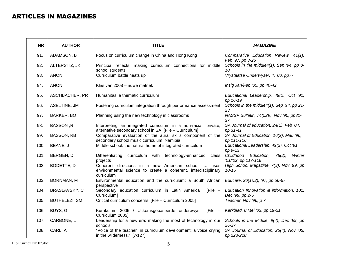#### ARTICLES IN MAGAZINES

| <b>NR</b> | <b>AUTHOR</b>        | <b>TITLE</b>                                                                                                                                                                                 | <b>MAGAZINE</b>                                                               |
|-----------|----------------------|----------------------------------------------------------------------------------------------------------------------------------------------------------------------------------------------|-------------------------------------------------------------------------------|
| 91.       | ADAMSON, B           | Focus on curriculum change in China and Hong Kong                                                                                                                                            | Comparative Education Review, 41(1),<br>Feb '97, pp 3-26                      |
| 92.       | ALTERSITZ, JK        | Principal reflects: making curriculum connections for middle<br>school students                                                                                                              | Schools in the middle4(1), Sep '94, pp 8-<br>10                               |
| 93.       | <b>ANON</b>          | Curriculum battle heats up                                                                                                                                                                   | Vrystaatse Onderwyser, 4, '00, pp7-                                           |
| 94.       | <b>ANON</b>          | Klas van 2008 - nuwe matriek                                                                                                                                                                 | Insig Jan/Feb '05, pp 40-42                                                   |
| 95.       | ASCHBACHER, PR       | Humanitas: a thematic curriculum                                                                                                                                                             | Educational Leadership, 49(2), Oct '91,<br>pp 16-19                           |
| 96.       | ASELTINE, JM         | Fostering curriculum integration through performance assessment                                                                                                                              | Schools in the middle4(1), Sep '94, pp 21-<br>23                              |
| 97.       | <b>BARKER, BO</b>    | Planning using the new technology in classrooms                                                                                                                                              | NASSP Bulletin, 74(529), Nov '90, pp31-<br>37                                 |
| 98.       | <b>BASSON, R</b>     | Interpreting an integrated curriculum in a non-racial, private,<br>alternative secondary school in SA [File - Curriculum]                                                                    | SA Journal of education, 24(1), Feb '04,<br>pp 31-41                          |
| 99.       | <b>BASSON, RB</b>    | Comparative evaluation of the aural skills component of the<br>secondary school music curriculum, Namibia                                                                                    | SA Journal of Education, 16(2), Mau '96,<br>pp 111-116                        |
| 100.      | BEANE, J             | Middle school: the natural home of integrated curriculum                                                                                                                                     | Educational Leadership, 49(2), Oct '91,<br>pp 9-13                            |
| 101.      | BERGEN, D            | Differentiating<br>curriculum with technology-enhanced<br>class<br>projects                                                                                                                  | Childhood Education,<br>$\overline{78(2)}$ ,<br>Winter<br>'01/'02, pp 117-118 |
| 102.      | <b>BODETTE, D</b>    | High School Magazine, 7(3), Nov '99, pp<br>Coherent directions in a new American school:<br>uses<br>$10 - 15$<br>environmental science to create a coherent, interdisciplinary<br>curriculum |                                                                               |
| 103.      | <b>BORNMAN, M</b>    | Environmental education and the curriculum: a South African<br>perspective                                                                                                                   | Educare, 26(1&2), '97, pp 56-67                                               |
| 104.      | <b>BRASLAVSKY, C</b> | Secondary education curriculum in Latin America<br>$[File -$<br>Curriculum]                                                                                                                  | Education Innovation & information, 101,<br>Dec '99, pp 2-6                   |
| 105.      | BUTHELEZI, SM        | Critical curriculum concerns [File - Curriculum 2005]                                                                                                                                        | Teacher, Nov '96, p 7                                                         |
| 106.      | BUYS, G              | Kurrikulum 2005 / Uitkomsgebaseerde onderewys<br>[File $-$<br>Kerkblad, 8 Mei '02, pp 19-21<br>Curriculum 2005]                                                                              |                                                                               |
| 107.      | CARBONE, L           | Leadership for a new era: making the most of technology in our<br>schools                                                                                                                    | Schools in the Middle, 9(4), Dec '99, pp<br>26-27                             |
| 108.      | CARL, A              | "Voice of the teacher" in curriculum development: a voice crying<br>in the wilderness? [7/127]                                                                                               | SA Journal of Education, 25(4), Nov '05,<br>pp 223-228                        |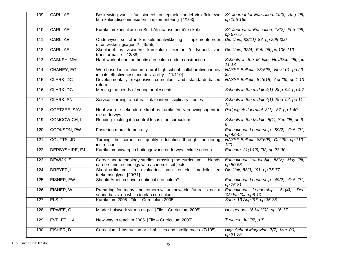| 109. | CARL, AE       | Beskrywing van 'n funksioneel-konseptuele model vir effektiewe<br>kurrikulumdisseminasie en -implementering [4/103]     | SA Journal for Education, 19(3), Aug '99,<br>pp 155-165            |
|------|----------------|-------------------------------------------------------------------------------------------------------------------------|--------------------------------------------------------------------|
| 110. | CARL, AE       | Kurrikulumkonsultasie in Suid-Afrikaanse primêre skole                                                                  | SA Journal of Education, 18(2), Feb "98,<br>pp 67-75               |
| 111. | CARL, AE       | Onderwyser se rol in kurrikulumontwikkeling - implementeerder<br>of ontwikkelingsagent? [45/55]                         | Die Unie, 83(11) '87, pp 298-300                                   |
| 112. | CARL, AE       | Skoolhoof as visionêre kurrikulum leier in 'n tydperk van<br>transformasie [12/88]                                      | Die Unie, 92(4), Feb '96, pp 106-110                               |
| 113. | CASKEY, MM     | Hard work ahead: authentic curriculum under construction                                                                | Schools in the Middle, Nov/Dec '96, pp<br>$11 - 18$                |
| 114. | CHANEY, EG     | Web-based instruction in a rural high school: collaborative inquiry<br>into its effectiveness and desirability [11/110] | NASSP Bulletin, 85(628), Nov '01, pp 20-<br>35                     |
| 115. | CLARK, DC      | Developmentally responsive curriculum and standards-based<br>reform                                                     | NASSP Bulletin, 84(615), Apr '00, pp 1-13                          |
| 116. | CLARK, DC      | Meeting the needs of young adolescents                                                                                  | Schools in the middle4(1), Sep '94, pp 4-7                         |
| 117. | CLARK, SN      | Service learning: a natural link to interdisciplinary studies                                                           | Schools in the middle4(1), Sep '94, pp 11-<br>15                   |
| 118. | COETZEE, SAV   | Hoof van die sekondêre skool as kurrikulêre vernuwingsagent in<br>die onderwys                                          | Pedgogiek-Joernaal, 8(1), '87, pp 1-40                             |
| 119. | COMCOWICH, L   | Reading: making it a central focus [in curriculum}                                                                      | Schools in the Middle, 5(1), Sep '95, pp 6-<br>9                   |
| 120. | COOKSON, PW    | Fostering moral democracy                                                                                               | Educational Leadership, 59(2), Oct '01,<br>pp 42-45                |
| 121. | COUTTS, JD     | Turning the corner on quality education through monitoring<br>instruction                                               | NASSP Bulletin, 83(609), Oct '99, pp 110-<br>120                   |
| 122. | DERBYSHIRE, EJ | Kurrikulumontwerp in buitengewone onderwys: enkele criteria                                                             | Educare, 21(1&2), '92, pp 23-30                                    |
| 123. | DEWIJK, SL     | Career and technology studies: crossing the curriculum  blends<br>careers and technology with academic subjects         | Educational Leadership, 53(8), May '96,<br>pp 50-53                |
| 124. | DREYER, L      | Skoolkurrikulum: 'n evaluering van enkele<br>modelle<br>en<br>toekomsriglyne [29/71]                                    | Die Unir, 88(3), '91, pp 75-77                                     |
| 125. | EISNER, EW     | Should America have a national curriculum?                                                                              | Educational Leadership, 49(2), Oct '91,<br>pp 76-81                |
| 126. | EISNER, W      | Preparing for today and tomorrow: unknowable future is not a<br>sound basis on which to plan curriculum                 | Educational Leadership,<br>$61(4)$ ,<br>Dec<br>'03/Jan '04, pp6-10 |
| 127. | ELS, J         | Kurrikulum 2005 [File - Curriculum 2005]                                                                                | Sarie, 13 Aug '97, pp 36-38                                        |
| 128. | ERWEE, C       | Minder huiswerk vir ma en pa! [File - Curriculum 2005]                                                                  | Huisgenoot, 16 Mei '02, pp 16-17                                   |
| 129. | EVELETH, A     | New way to teach in 2005 [File - Curriculum 2005]                                                                       | Teacher, Jul '97, p 7                                              |
| 130. | FISHER, D      | Curriculum & instruction or all abilities and intelligences (7/105)                                                     | High School Magazine, 7(7), Mar '00,<br>pp 21-25                   |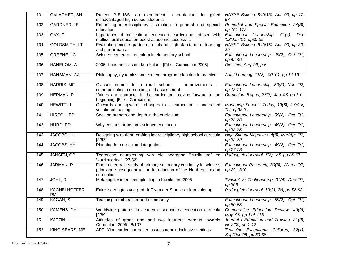| 131. | GALAGHER, SH               | Project P-BLISS: an experiment in curriculum for gifted<br>disadvantaged high school students                                                         | NASSP Bulletin, 84(615), Apr '00, pp 47-<br>57                      |
|------|----------------------------|-------------------------------------------------------------------------------------------------------------------------------------------------------|---------------------------------------------------------------------|
| 132. | GARDNER, JE                | Enhancing interdisciplinary instruction in general and special<br>education                                                                           | Remedial and Special Education, 24(3),<br>pp 161-172                |
| 133. | GAY, G                     | Importance of multicultural education: curriculums infused with<br>multicultural education boost academic success                                     | Educational Leadership,<br>$61(4)$ ,<br>Dec<br>'03/Jan '04, pp30-35 |
| 134. | <b>GOLDSMITH, LT</b>       | Evaluating middle grades curricula for high standards of learning<br>and performance                                                                  | NASSP Bulletin, 84(615), Apr '00, pp 30-<br>39                      |
| 135. | <b>GREENE, LC</b>          | Science-centered curriculum in elementary school                                                                                                      | Educational Leadership, 49(2), Oct '91,<br>pp 42-46                 |
| 136. | HANEKOM, A                 | 2005- baie meer as net kurrikulum [File - Curriculum 2005]                                                                                            | Die Unie, Aug '99, p 6                                              |
| 137. | HANSMAN, CA                | Philosophy, dynamics and context: program planning in practice                                                                                        | Adult Learning, 11(2), '00-'01, pp 14-16                            |
| 138. | <b>HARRIS, MF</b>          | Glasser comes to a rural school:  improvements<br>communication, curriculum, and assessment                                                           | Educational Leadership, 50(3), Nov '92,<br>pp 18-21                 |
| 139. | <b>HERMAN, R</b>           | Values and character in the curriculum: moving forward to the<br>beginning [File - Curriculum]                                                        | Curriculum Report, 27(3), Jan '98, pp 1-6                           |
| 140. | HEWITT, J                  | Onwards and upwards: changes to  curriculum  increased<br>vocational training                                                                         | Managing Schools Today, 13(6), Jul/Aug<br>'04, pp33-34              |
| 141. | HIRSCH, ED                 | Seeking breadth and depth in the curriculum                                                                                                           | Educational Leadership, 59(2), Oct '01,<br>pp 22-25                 |
| 142. | HURD, PD                   | Why we must transform science education                                                                                                               | Educational Leadership, 49(2), Oct '91,<br>pp 33-35                 |
| 143. | JACOBS, HH                 | Designing with rigor: crafting interdisciplinary high school curricula<br>[5/92]                                                                      | High School Magazine, 4(3), Mar/Apr '97,<br>pp 32-39                |
| 144. | JACOBS, HH                 | Planning for curriculum integration                                                                                                                   | Educational Leadership, 49(2), Oct '91,<br>pp 27-28                 |
| 145. | JANSEN, CP                 | Teoretiese deurskouing van die begroppe "kurrikulum" en<br>"kurrikulering" [27/52]                                                                    | Pedgogiek-Joernaal, 7(2), '86, pp 25-72                             |
| 146. | JARMAN, R                  | Fine in theory: a study of primary-secondary continuity in science,<br>prior and subsequent tot he introduction of the Northern Ireland<br>curriculum | Educational Research, 39(3), Winter '97,<br>pp 291-310              |
| 147. | JOHL, R                    | Metakogniesie en leesopleiding in Kurrikulum 2005                                                                                                     | Tydskrif vir Taakonderrig, 31(4), Des '97,<br>pp 306-               |
| 148. | KACHELHOFFER,<br><b>PM</b> | Enkele gedagtes vna prof dr F van der Stoep oor kurrikulering                                                                                         | Pedgogiek-Joernaal, 10(2), '89, pp 52-62                            |
| 149. | KAGAN, S                   | Teaching for character and community                                                                                                                  | Educational Leadership, 59(2), Oct '01,<br>pp 50-55                 |
| 150. | KAMENS, DH                 | Worldwide patterns in academic secondary education curricula<br>[2/89]                                                                                | Comparative Education Review, 40(2),<br>May '96, pp 116-138         |
| 151. | KATZIN, L                  | Attitudes of grade one and two learners' parents towards<br>Curriculum 2005 [ 8/107]                                                                  | Journal f Education and Training, 21(2),<br>Nov '00, pp 1-12        |
| 152. | KING-SEARS, ME             | APPLYing curriculum-based assessment in inclusive settings                                                                                            | Teaching Exceptional Children, 32(1),<br>Sep/Oct '99, pp 30-38      |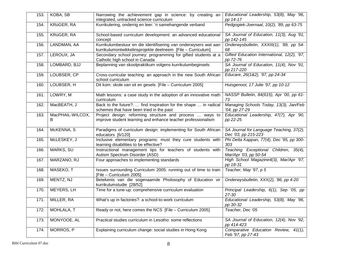| 153. | KOBA, SB              | Narrowing the achievement gap in science: by creating an<br>integrated, untracked science curriculum                           | Educational Leadership, 53(8), May '96,<br>pp 14-17             |
|------|-----------------------|--------------------------------------------------------------------------------------------------------------------------------|-----------------------------------------------------------------|
| 154. | KRüGER, RA            | Kurrikulering, onderrig en leer: 'n samehangende verband                                                                       | Pedgogiek-Joernaal, 10(2), '89, pp 63-75                        |
| 155. | KRüGER, RA            | School-based curriculum development: an advanced educational<br>concept                                                        | SA Journal of Education, 11(3), Aug '91,<br>pp 142-145          |
| 156. | LANDMAN, AA           | Kurrikulumbestuur en die identifisering van onderwysers wat aan<br>kurrikulumontwikkelinsprojekte deelneem [File - Curriculum] | Onderwysbulletin, XXXIII(1), '89, pp 54-<br>68                  |
| 157. | LEROUX, JA            | Secondary school journey: programming for gifted students at a<br>Catholic high school in Canada                               | Gifted Education International, 12(2), '97,<br>pp 72-76         |
| 158. | LOMBARD, BJJ          | Beplanning van skoolpraktikum volgens kurrikulumbeginsels                                                                      | SA Journal of Education, 11(4), Nov '91,<br>pp 217-220          |
| 159. | LOUBSER, CP           | Cross-curricular teaching: an approach in the new South African<br>school curriculum                                           | Educare, 26(1&2), '97, pp 24-34                                 |
| 160. | LOUBSER, H            | Dit kom: skole van sit en gesels [File - Curriculum 2005]                                                                      | Huisgenoot, 17 Julie '97, pp 10-12                              |
| 161. | LOWRY, M              | Math lessons: a case study in the adoption of an innovative math<br>curriculum                                                 | NASSP Bulletin, 84(615), Apr '00, pp 61-<br>73                  |
| 162. | MacBEATH, J           | Back to the future?:  find inspiration for the shape  in radical<br>schemes that have been tried in the past                   | Managing Schools Today, 13(3), Jan/Feb<br>'04, pp 27-29         |
| 163. | MacPHAIL-WILCOX,<br>в | Project design: reforming structure and process  ways to<br>improve student learning and enhance teacher professionalism       | Educational Leadership, 47(7), Apr '90,<br>pp 22-25             |
| 164. | McKENNA, S            | Paradigms of curriculum design: implementing for South African<br>educators [6/120]                                            | SA Journal for Language Teaching, 37(2),<br>Dec '03, pp 215-223 |
| 165. | McLESKEY, J           | Inclusive elementary programs: must they cure students with<br>learning disabilities to be effective?                          | Phi Delta Kappan, 77(4), Dec '95, pp 300-<br>303                |
| 166. | MARKS, SU             | Instructional management tips for teachers of students with<br>Autism Spectrum Disorder (ASD)                                  | Teaching Exceptional Children, 35(4),<br>Mar/Apr '03, pp 50-54  |
| 167. | MARZANO, RJ           | Four approaches to implementing standards                                                                                      | High School Magazine4(3), Mar/Apr '97,<br>pp 18-31              |
| 168. | MASEKO, T             | Issues surrounding Curriculum 2005: running out of time to train<br>[File - Curriculum 2005]                                   | Teacher, May '97, p 5                                           |
| 169. | MENTZ, NJ             | Betekenis van die sogenaamde Pholosophy of Education vir<br>kurrikulumstudie [28/52]                                           | Onderwysbulletin, XXX(2), '86, pp 4-20                          |
| 170. | <b>MEYERS, LH</b>     | Time for a tune-up: comprehensive curriculum evaluation                                                                        | Principal Leadership, 6(1), Sep '05, pp<br>27-30                |
| 171. | MILLER, RA            | What's up in factories?: a school-to-work curriculum                                                                           | Educational Leadership, 53(8), May '96,<br>pp 30-32             |
| 172. | <b>MOHLALA, T</b>     | Ready or not, here comes the NCS [File - Curriculum 2005]                                                                      | Teacher, Dec '05                                                |
| 173. | MONYOOE, AL           | Practical studies curriculum in Lesotho: some reflections                                                                      | SA Journal of Education, 12(4), Nov '92,<br>pp 414-423          |
| 174. | MORROS, P             | Explaining curriculum change: social studies in Hong Kong                                                                      | Comparative Education Review, 41(1),<br>Feb '97, pp 27-43       |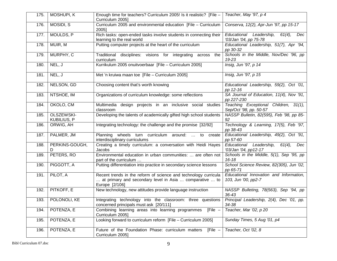| 175. | MOSHUPI, K                       | Enough time for teachers? Curriculum 2005! Is it realistic? [File -<br>Curriculum 2005]                                                      | Teacher, May '97, p 4                                                |
|------|----------------------------------|----------------------------------------------------------------------------------------------------------------------------------------------|----------------------------------------------------------------------|
| 176. | MOSIDI, S                        | Curriculum 2005 and environmental education [File - Curriculum<br>20051                                                                      | Conserva, 12(2), Apr-Jun '97, pp 15-17                               |
| 177. | MOULDS, P                        | Rich tasks: open-ended tasks involve students in connecting their<br>learning to the real world                                              | Educational Leadership,<br>$61(4)$ ,<br>Dec<br>'03/Jan '04, pp 75-78 |
| 178. | MUIR, M                          | Putting computer projects at the heart of the curriculum                                                                                     | Educational Leadership, 51(7), Apr '94,<br>pp 30-32                  |
| 179. | MURPHY, C                        | Traditional disciplines: visions for integrating across<br>the<br>curriculum                                                                 | Schools in the Middle, Nov/Dec '96, pp<br>19-23                      |
| 180. | NEL, J                           | Kurrikulum 2005 onuitvoerbaar [File - Curriculum 2005]                                                                                       | Insig, Jun '97, p 14                                                 |
| 181. | NEL, J                           | Met 'n kruiwa maan toe [File - Curriculum 2005]                                                                                              | Insig, Jun '97, p 15                                                 |
| 182. | NELSON, GD                       | Choosing content that's worth knowing                                                                                                        | Educational Leadership, 59(2), Oct '01,<br>pp 12-16                  |
| 183. | NTSHOE, IM                       | Organizations of curriculum knowledge: some reflections                                                                                      | SA Journal of Education, 11(4), Nov '91,<br>pp 227-230               |
| 184. | OKOLO, CM                        | Multimedia design projects in an inclusive social studies<br>classroom                                                                       | Teaching Exceptional Children, 31(1),<br>Sep/Oct '98, pp. 50-57      |
| 185. | OLSZEWSKI-<br><b>KUBILIUS, P</b> | Developing the talents of academically gifted high school students                                                                           | NASSP Bulletin, 82(595), Feb '98, pp 85-<br>92                       |
| 186. | ORWIG, AH                        | Integrating technology: the challenge and the promise [32/92]                                                                                | Technology & Learning, 17(5), Feb '97,<br>pp 38-43                   |
| 187. | PALMER, JM                       | Planning wheels turn curriculum around:  to create<br>interdisciplinary curriculums                                                          | Educational Leadership, 49(2), Oct '91,<br>pp 57-60                  |
| 188. | PERKINS-GOUGH,<br>D              | Creating a timely curriculum: a conversation with Heidi Hayes<br>Jacobs                                                                      | Educational Leadership,<br>$61(4)$ ,<br>Dec<br>'03/Jan '04, pp12-17  |
| 189. | PETERS, RO                       | Environmental education in urban communities:  are often not<br>part of the curriculum                                                       | Schools in the Middle, 5(1), Sep '95, pp<br>$16 - 18$                |
| 190. | PIGGOTT, A                       | Putting differentiation into practice in secondary science lessons                                                                           | School Science Review, 82(305), Jun '02,<br>pp 65-71                 |
| 191. | PILOT, A                         | Recent trends in the reform of science and technology curricula<br>at primary and secondary level in Asia  comparative  to<br>Europe [2/106] | Educational Innovation and Information,<br>103, Jun '00, pp2-7       |
| 192. | PITKOFF, E                       | New technology, new attitudes provide language instruction                                                                                   | NASSP Bulleting, 78(563), Sep '94, pp<br>$36 - 43$                   |
| 193. | POLONOLI, KE                     | Integrating technology into the classroom: three questions<br>concerned principals must ask [20/111]                                         | Principal Leadership, 2(4), Dec '01, pp.<br>34-38                    |
| 194. | POTENZA, E                       | Combining learning areas into learning programmes<br>[File $-$<br>Curriculum 2005]                                                           | Teacher, Mar '02, p 20                                               |
| 195. | POTENZA, E                       | Looking forward to curriculum reform [File - Curriculum 2005]                                                                                | Sunday Times, 5 Aug '01, p4                                          |
| 196. | POTENZA, E                       | Future of the Foundation Phase: curriculum matters<br>$[File -$<br>Curriculum 2005]                                                          | Teacher, Oct '02, 8                                                  |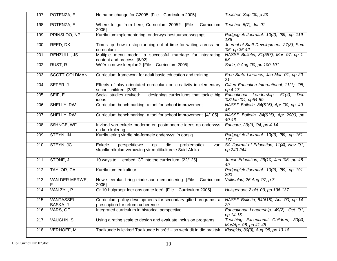| 197. | POTENZA, E             | No name change for C2005 [File - Curriculum 2005]                                                                                               | Teacher, Sep '00, p 23                                              |
|------|------------------------|-------------------------------------------------------------------------------------------------------------------------------------------------|---------------------------------------------------------------------|
| 198. | POTENZA, E             | Where to go from here, Curriculum 2005? [File $-$ Curriculum<br>20051                                                                           | Teacher, 5(7), Jul '01                                              |
| 199. | PRINSLOO, NP           | Kurrikulumimplementering: onderwys-bestuursoorwegings                                                                                           | Pedgogiek-Joernaal, 10(2), '89, pp 119-<br>136                      |
| 200. | REED, DK               | Times up: how to stop running out of time for writing across the<br>curriculum                                                                  | Journal of Staff Development, 27(3), Sum<br>'06, pp 36-42           |
| 201. | RENZULLI, JS           | Multiple menu model: a successful marriage for integrating<br>content and process [6/92]                                                        | NASSP Bulletin, 81(587), Mar '97, pp 1-<br>58                       |
| 202. | RUST, R                | Wéér 'n nuwe leerplan? [File - Curriculum 2005]                                                                                                 | Sarie, 9 Aug '00, pp 100-101                                        |
| 203. | SCOTT-GOLDMAN          | Curriculum framework for adult basic education and training                                                                                     | Free State Libraries, Jan-Mar '01, pp 20-<br>21                     |
| 204. | SEFER, J               | Effects of play orientated curriculum on creativity in elementary<br>school children [3/89]                                                     | Gifted Education International, 11(1), '95,<br>pp 4-17              |
| 205. | SEIF, E                | Social studies revived:  designing curriculums that tackle big<br>ideas                                                                         | Educational Leadership,<br>$61(4)$ ,<br>Dec<br>'03/Jan '04, pp54-59 |
| 206. | SHELLY, RW             | Curriculum benchmarking: a tool for school improvement                                                                                          | NASSP Bulletin, 84(615), Apr '00, pp. 40-<br>46                     |
| 207. | SHELLY, RW             | Curriculum benchmarking: a tool for school improvement [4/105]                                                                                  | NASSP Bulletin, 84(615), Apr 2000, pp<br>$40 - 46$                  |
| 208. | SöHNGE, WF             | Invloed van enkele moderne en postmoderne idees op onderwys<br>en kurrikulering                                                                 | Educare, 23(2), '94, pp 4-14                                        |
| 209. | STEYN, IN              | Kurrikulering vir die nie-formele onderwys: 'n oorsig                                                                                           | Pedgogiek-Joernaal, 10(2), '89, pp 161-<br>177                      |
| 210. | STEYN, JC              | Enkele<br>perspektiewe<br>die<br>problematiek<br>op<br>van<br>skoolkurrikulumvernuwing vir multikulturele Suid-Afrika                           | SA Journal of Education, 11(4), Nov '91,<br>pp 240-244              |
| 211. | STONE, J               | 10 ways to  embed ICT into the curriculum [22/125]                                                                                              | Junior Education, 29(10, Jan '05, pp 48-<br>49                      |
| 212. | TAYLOR, CA             | Kurrikulum en kultuur                                                                                                                           | Pedgogiek-Joernaal, 10(2), '89, pp 191-<br>200                      |
| 213. | VAN DER MERWE,         | Nuwe leerplan bring einde aan memorisering [File - Curriculum<br>2005]                                                                          | Volksblad, 26 Aug '97, p 7                                          |
| 214. | VAN ZYL, P             | Gr 10-hulproep: leer ons om te leer! [File - Curriculum 2005]                                                                                   | Huisgenoot, 2 okt '03, pp 136-137                                   |
| 215. | VANTASSEL-<br>BASKA, J | Curriculum policy developments for secondary gifted programs: a   NASSP Bulletin, 84(615), Apr '00, pp 14-<br>prescription for reform coherence | 29                                                                  |
| 216. | VARS, GF               | Integrated curriculum in historical perspective                                                                                                 | Educational Leadership, 49(2), Oct '91,<br>pp 14-15                 |
| 217. | VAUGHN, S              | Using a rating scale to design and evaluate inclusion programs                                                                                  | Teaching Exceptional Children, 30(4),<br>Mar/Apr '98, pp 41-45      |
| 218. | <b>VERHOEF, M</b>      | Taalkunde is lekker! Taalkunde is prêt! - so werk dit in die praktyk                                                                            | Klasgids, 30(3), Aug '95, pp 13-18                                  |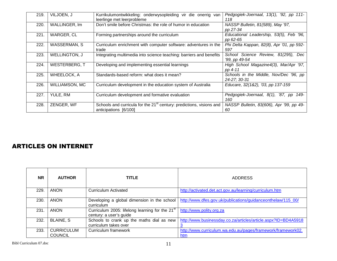| 219. | VILJOEN, J           | Kurrikulumontwikkeling: onderwysopleiding vir die onerrig van<br>leerlinge met leerprobleme               | Pedgogiek-Joernaal, 13(1), '92, pp 111-<br>118          |
|------|----------------------|-----------------------------------------------------------------------------------------------------------|---------------------------------------------------------|
| 220. | WALLINGER, Im        | Don't smile before Christmas: the role of humor in education                                              | NASSP Bulletin, 81(589), May '97,<br>pp 27-34           |
| 221. | <b>WARGER, CL</b>    | Forming partnerships around the curriculum                                                                | Educational Leadership, 53(5), Feb '96,<br>pp 62-65     |
| 222. | <b>WASSERMAN, S</b>  | Curriculum enrichment with computer software: adventures in the<br>trade                                  | Phi Delta Kappan, 82(8), Apr '01, pp 592-<br>597        |
| 223. | <b>WELLINGTON, J</b> | Integrating multimedia into science teaching: barriers and benefits                                       | School Science Review, 81(295),<br>Dec<br>'99, pp 49-54 |
| 224. | WESTERBERG, T        | Developing and implementing essential learnings                                                           | High School Magazine4(3), Mar/Apr '97,<br>pp 4-11       |
| 225. | <b>WHEELOCK, A</b>   | Standards-based reform: what does it mean?                                                                | Schools in the Middle, Nov/Dec '96, pp<br>24-27; 30-31  |
| 226. | WILLIAMSON, MC       | Curriculum development in the education system of Australia                                               | Educare, 32(1&2), '03, pp 137-159                       |
| 227. | YULE, RM             | Curriculum development and formative evaluation                                                           | Pedgogiek-Joernaal, 8(1), '87, pp 149-<br>160           |
| 228. | ZENGER, WF           | Schools and curricula for the 21 <sup>st</sup> century: predictions, visions and<br>anticipations [6/100] | NASSP Bulletin, 83(606), Apr '99, pp 49-<br>60          |

### ARTICLES ON INTERNET

| <b>NR</b> | <b>AUTHOR</b>                       | <b>TITLE</b>                                                               | <b>ADDRESS</b>                                                      |
|-----------|-------------------------------------|----------------------------------------------------------------------------|---------------------------------------------------------------------|
| 229.      | <b>ANON</b>                         | Curriculum Activated                                                       | http://activated.det.act.gov.au/learning/curriculum.htm             |
| 230.      | <b>ANON</b>                         | Developing a global dimension in the school<br>curriculum                  | http://www.dfes.gov.uk/publications/guidanceonthelaw/115_00/        |
| 231.      | <b>ANON</b>                         | Curriculum 2005: lifelong learning for the 21st<br>century: a user's guide | http://www.polity.org.za                                            |
| 232.      | <b>BLAINE, S</b>                    | Schools to crank up the maths dial as new<br>curriculum takes over         | http://www.businessday.co.za/articles/article.aspx?ID=BD4A5918      |
| 233.      | <b>CURRICULUM</b><br><b>COUNCIL</b> | Curriculum framework                                                       | http://www.curriculum.wa.edu.au/pages/framework/framework02.<br>htm |